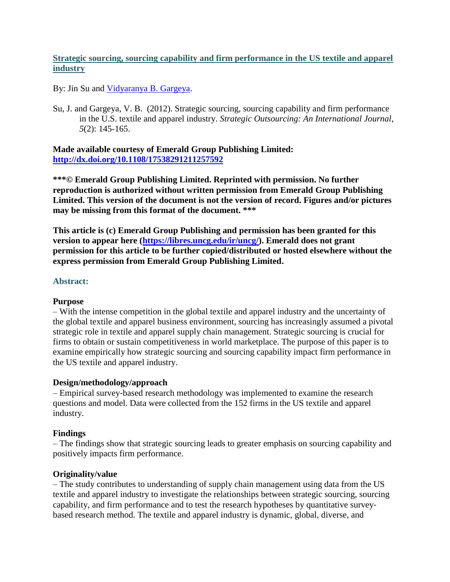# **Strategic sourcing, sourcing capability and firm performance in the US textile and apparel industry**

By: Jin Su and [Vidyaranya B. Gargeya.](https://libres.uncg.edu/ir/uncg/clist.aspx?id=775)

Su, J. and Gargeya, V. B. (2012). Strategic sourcing, sourcing capability and firm performance in the U.S. textile and apparel industry. *Strategic Outsourcing: An International Journal*, *5*(2): 145-165.

**Made available courtesy of Emerald Group Publishing Limited: <http://dx.doi.org/10.1108/17538291211257592>**

**\*\*\*© Emerald Group Publishing Limited. Reprinted with permission. No further reproduction is authorized without written permission from Emerald Group Publishing Limited. This version of the document is not the version of record. Figures and/or pictures may be missing from this format of the document. \*\*\***

**This article is (c) Emerald Group Publishing and permission has been granted for this version to appear here [\(https://libres.uncg.edu/ir/uncg/\)](https://libres.uncg.edu/ir/uncg/). Emerald does not grant permission for this article to be further copied/distributed or hosted elsewhere without the express permission from Emerald Group Publishing Limited.**

## **Abstract:**

## **Purpose**

– With the intense competition in the global textile and apparel industry and the uncertainty of the global textile and apparel business environment, sourcing has increasingly assumed a pivotal strategic role in textile and apparel supply chain management. Strategic sourcing is crucial for firms to obtain or sustain competitiveness in world marketplace. The purpose of this paper is to examine empirically how strategic sourcing and sourcing capability impact firm performance in the US textile and apparel industry.

## **Design/methodology/approach**

– Empirical survey‐based research methodology was implemented to examine the research questions and model. Data were collected from the 152 firms in the US textile and apparel industry.

## **Findings**

– The findings show that strategic sourcing leads to greater emphasis on sourcing capability and positively impacts firm performance.

## **Originality/value**

– The study contributes to understanding of supply chain management using data from the US textile and apparel industry to investigate the relationships between strategic sourcing, sourcing capability, and firm performance and to test the research hypotheses by quantitative survey‐ based research method. The textile and apparel industry is dynamic, global, diverse, and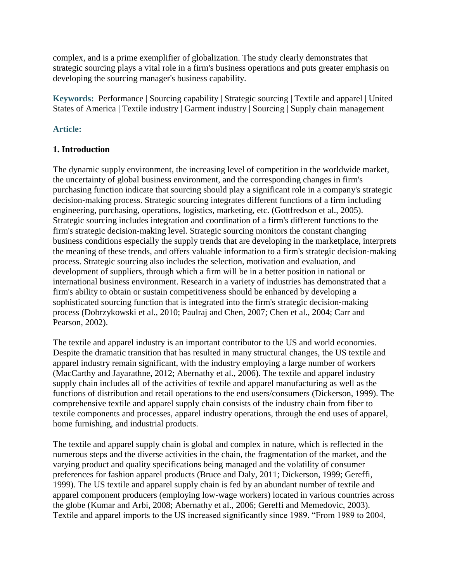complex, and is a prime exemplifier of globalization. The study clearly demonstrates that strategic sourcing plays a vital role in a firm's business operations and puts greater emphasis on developing the sourcing manager's business capability.

**Keywords:** Performance | Sourcing capability | Strategic sourcing | Textile and apparel | United States of America | Textile industry | Garment industry | Sourcing | Supply chain management

## **Article:**

## **1. Introduction**

The dynamic supply environment, the increasing level of competition in the worldwide market, the uncertainty of global business environment, and the corresponding changes in firm's purchasing function indicate that sourcing should play a significant role in a company's strategic decision‐making process. Strategic sourcing integrates different functions of a firm including engineering, purchasing, operations, logistics, marketing, etc. (Gottfredson et al., 2005). Strategic sourcing includes integration and coordination of a firm's different functions to the firm's strategic decision-making level. Strategic sourcing monitors the constant changing business conditions especially the supply trends that are developing in the marketplace, interprets the meaning of these trends, and offers valuable information to a firm's strategic decision‐making process. Strategic sourcing also includes the selection, motivation and evaluation, and development of suppliers, through which a firm will be in a better position in national or international business environment. Research in a variety of industries has demonstrated that a firm's ability to obtain or sustain competitiveness should be enhanced by developing a sophisticated sourcing function that is integrated into the firm's strategic decision-making process (Dobrzykowski et al., 2010; Paulraj and Chen, 2007; Chen et al., 2004; Carr and Pearson, 2002).

The textile and apparel industry is an important contributor to the US and world economies. Despite the dramatic transition that has resulted in many structural changes, the US textile and apparel industry remain significant, with the industry employing a large number of workers (MacCarthy and Jayarathne, 2012; Abernathy et al., 2006). The textile and apparel industry supply chain includes all of the activities of textile and apparel manufacturing as well as the functions of distribution and retail operations to the end users/consumers (Dickerson, 1999). The comprehensive textile and apparel supply chain consists of the industry chain from fiber to textile components and processes, apparel industry operations, through the end uses of apparel, home furnishing, and industrial products.

The textile and apparel supply chain is global and complex in nature, which is reflected in the numerous steps and the diverse activities in the chain, the fragmentation of the market, and the varying product and quality specifications being managed and the volatility of consumer preferences for fashion apparel products (Bruce and Daly, 2011; Dickerson, 1999; Gereffi, 1999). The US textile and apparel supply chain is fed by an abundant number of textile and apparel component producers (employing low‐wage workers) located in various countries across the globe (Kumar and Arbi, 2008; Abernathy et al., 2006; Gereffi and Memedovic, 2003). Textile and apparel imports to the US increased significantly since 1989. "From 1989 to 2004,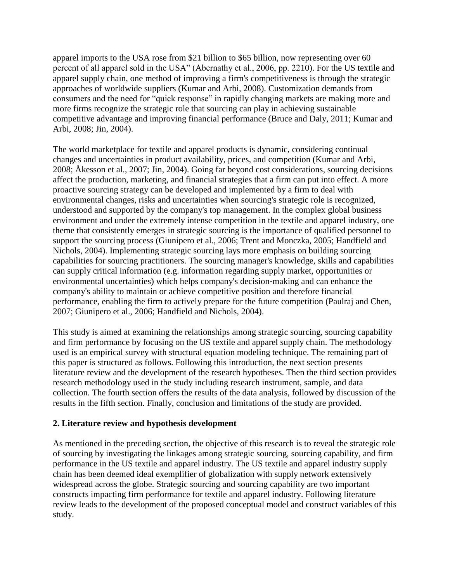apparel imports to the USA rose from \$21 billion to \$65 billion, now representing over 60 percent of all apparel sold in the USA" (Abernathy et al., 2006, pp. 2210). For the US textile and apparel supply chain, one method of improving a firm's competitiveness is through the strategic approaches of worldwide suppliers (Kumar and Arbi, 2008). Customization demands from consumers and the need for "quick response" in rapidly changing markets are making more and more firms recognize the strategic role that sourcing can play in achieving sustainable competitive advantage and improving financial performance (Bruce and Daly, 2011; Kumar and Arbi, 2008; Jin, 2004).

The world marketplace for textile and apparel products is dynamic, considering continual changes and uncertainties in product availability, prices, and competition (Kumar and Arbi, 2008; Åkesson et al., 2007; Jin, 2004). Going far beyond cost considerations, sourcing decisions affect the production, marketing, and financial strategies that a firm can put into effect. A more proactive sourcing strategy can be developed and implemented by a firm to deal with environmental changes, risks and uncertainties when sourcing's strategic role is recognized, understood and supported by the company's top management. In the complex global business environment and under the extremely intense competition in the textile and apparel industry, one theme that consistently emerges in strategic sourcing is the importance of qualified personnel to support the sourcing process (Giunipero et al., 2006; Trent and Monczka, 2005; Handfield and Nichols, 2004). Implementing strategic sourcing lays more emphasis on building sourcing capabilities for sourcing practitioners. The sourcing manager's knowledge, skills and capabilities can supply critical information (e.g. information regarding supply market, opportunities or environmental uncertainties) which helps company's decision‐making and can enhance the company's ability to maintain or achieve competitive position and therefore financial performance, enabling the firm to actively prepare for the future competition (Paulraj and Chen, 2007; Giunipero et al., 2006; Handfield and Nichols, 2004).

This study is aimed at examining the relationships among strategic sourcing, sourcing capability and firm performance by focusing on the US textile and apparel supply chain. The methodology used is an empirical survey with structural equation modeling technique. The remaining part of this paper is structured as follows. Following this introduction, the next section presents literature review and the development of the research hypotheses. Then the third section provides research methodology used in the study including research instrument, sample, and data collection. The fourth section offers the results of the data analysis, followed by discussion of the results in the fifth section. Finally, conclusion and limitations of the study are provided.

## **2. Literature review and hypothesis development**

As mentioned in the preceding section, the objective of this research is to reveal the strategic role of sourcing by investigating the linkages among strategic sourcing, sourcing capability, and firm performance in the US textile and apparel industry. The US textile and apparel industry supply chain has been deemed ideal exemplifier of globalization with supply network extensively widespread across the globe. Strategic sourcing and sourcing capability are two important constructs impacting firm performance for textile and apparel industry. Following literature review leads to the development of the proposed conceptual model and construct variables of this study.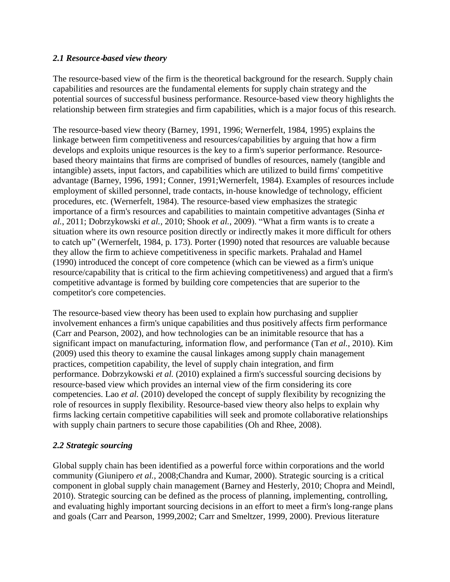## *2.1 Resource*‐*based view theory*

The resource-based view of the firm is the theoretical background for the research. Supply chain capabilities and resources are the fundamental elements for supply chain strategy and the potential sources of successful business performance. Resource‐based view theory highlights the relationship between firm strategies and firm capabilities, which is a major focus of this research.

The resource-based view theory (Barney, 1991, 1996; Wernerfelt, 1984, 1995) explains the linkage between firm competitiveness and resources/capabilities by arguing that how a firm develops and exploits unique resources is the key to a firm's superior performance. Resourcebased theory maintains that firms are comprised of bundles of resources, namely (tangible and intangible) assets, input factors, and capabilities which are utilized to build firms' competitive advantage (Barney, 1996, 1991; Conner, 1991;Wernerfelt, 1984). Examples of resources include employment of skilled personnel, trade contacts, in‐house knowledge of technology, efficient procedures, etc. (Wernerfelt, 1984). The resource‐based view emphasizes the strategic importance of a firm's resources and capabilities to maintain competitive advantages (Sinha *et al.*, 2011; Dobrzykowski *et al.*, 2010; Shook *et al.*, 2009). "What a firm wants is to create a situation where its own resource position directly or indirectly makes it more difficult for others to catch up" (Wernerfelt, 1984, p. 173). Porter (1990) noted that resources are valuable because they allow the firm to achieve competitiveness in specific markets. Prahalad and Hamel (1990) introduced the concept of core competence (which can be viewed as a firm's unique resource/capability that is critical to the firm achieving competitiveness) and argued that a firm's competitive advantage is formed by building core competencies that are superior to the competitor's core competencies.

The resource-based view theory has been used to explain how purchasing and supplier involvement enhances a firm's unique capabilities and thus positively affects firm performance (Carr and Pearson, 2002), and how technologies can be an inimitable resource that has a significant impact on manufacturing, information flow, and performance (Tan *et al.*, 2010). Kim (2009) used this theory to examine the causal linkages among supply chain management practices, competition capability, the level of supply chain integration, and firm performance. Dobrzykowski *et al.* (2010) explained a firm's successful sourcing decisions by resource‐based view which provides an internal view of the firm considering its core competencies. Lao *et al.* (2010) developed the concept of supply flexibility by recognizing the role of resources in supply flexibility. Resource-based view theory also helps to explain why firms lacking certain competitive capabilities will seek and promote collaborative relationships with supply chain partners to secure those capabilities (Oh and Rhee, 2008).

# *2.2 Strategic sourcing*

Global supply chain has been identified as a powerful force within corporations and the world community (Giunipero *et al.*, 2008;Chandra and Kumar, 2000). Strategic sourcing is a critical component in global supply chain management (Barney and Hesterly, 2010; Chopra and Meindl, 2010). Strategic sourcing can be defined as the process of planning, implementing, controlling, and evaluating highly important sourcing decisions in an effort to meet a firm's long-range plans and goals (Carr and Pearson, 1999,2002; Carr and Smeltzer, 1999, 2000). Previous literature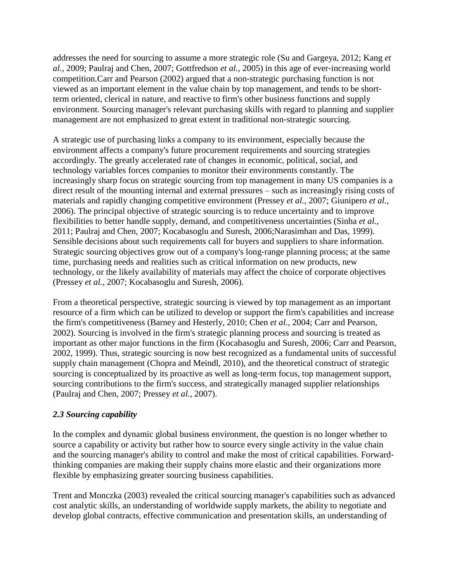addresses the need for sourcing to assume a more strategic role (Su and Gargeya, 2012; Kang *et al.*, 2009; Paulraj and Chen, 2007; Gottfredson *et al.*, 2005) in this age of ever‐increasing world competition.Carr and Pearson (2002) argued that a non‐strategic purchasing function is not viewed as an important element in the value chain by top management, and tends to be short‐ term oriented, clerical in nature, and reactive to firm's other business functions and supply environment. Sourcing manager's relevant purchasing skills with regard to planning and supplier management are not emphasized to great extent in traditional non‐strategic sourcing.

A strategic use of purchasing links a company to its environment, especially because the environment affects a company's future procurement requirements and sourcing strategies accordingly. The greatly accelerated rate of changes in economic, political, social, and technology variables forces companies to monitor their environments constantly. The increasingly sharp focus on strategic sourcing from top management in many US companies is a direct result of the mounting internal and external pressures – such as increasingly rising costs of materials and rapidly changing competitive environment (Pressey *et al.*, 2007; Giunipero *et al.*, 2006). The principal objective of strategic sourcing is to reduce uncertainty and to improve flexibilities to better handle supply, demand, and competitiveness uncertainties (Sinha *et al.*, 2011; Paulraj and Chen, 2007; Kocabasoglu and Suresh, 2006;Narasimhan and Das, 1999). Sensible decisions about such requirements call for buyers and suppliers to share information. Strategic sourcing objectives grow out of a company's long-range planning process; at the same time, purchasing needs and realities such as critical information on new products, new technology, or the likely availability of materials may affect the choice of corporate objectives (Pressey *et al.*, 2007; Kocabasoglu and Suresh, 2006).

From a theoretical perspective, strategic sourcing is viewed by top management as an important resource of a firm which can be utilized to develop or support the firm's capabilities and increase the firm's competitiveness (Barney and Hesterly, 2010; Chen *et al.*, 2004; Carr and Pearson, 2002). Sourcing is involved in the firm's strategic planning process and sourcing is treated as important as other major functions in the firm (Kocabasoglu and Suresh, 2006; Carr and Pearson, 2002, 1999). Thus, strategic sourcing is now best recognized as a fundamental units of successful supply chain management (Chopra and Meindl, 2010), and the theoretical construct of strategic sourcing is conceptualized by its proactive as well as long-term focus, top management support, sourcing contributions to the firm's success, and strategically managed supplier relationships (Paulraj and Chen, 2007; Pressey *et al.*, 2007).

# *2.3 Sourcing capability*

In the complex and dynamic global business environment, the question is no longer whether to source a capability or activity but rather how to source every single activity in the value chain and the sourcing manager's ability to control and make the most of critical capabilities. Forward‐ thinking companies are making their supply chains more elastic and their organizations more flexible by emphasizing greater sourcing business capabilities.

Trent and Monczka (2003) revealed the critical sourcing manager's capabilities such as advanced cost analytic skills, an understanding of worldwide supply markets, the ability to negotiate and develop global contracts, effective communication and presentation skills, an understanding of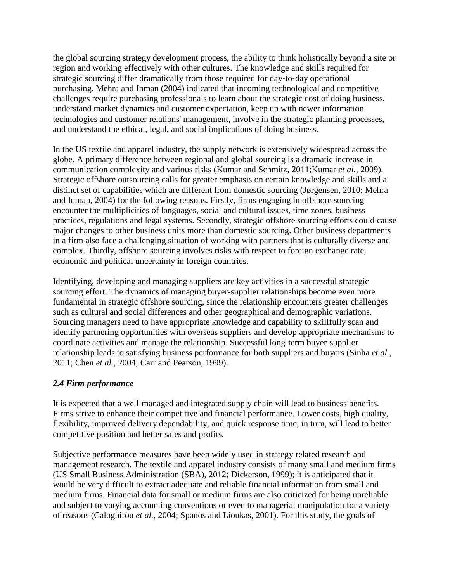the global sourcing strategy development process, the ability to think holistically beyond a site or region and working effectively with other cultures. The knowledge and skills required for strategic sourcing differ dramatically from those required for day‐to‐day operational purchasing. Mehra and Inman (2004) indicated that incoming technological and competitive challenges require purchasing professionals to learn about the strategic cost of doing business, understand market dynamics and customer expectation, keep up with newer information technologies and customer relations' management, involve in the strategic planning processes, and understand the ethical, legal, and social implications of doing business.

In the US textile and apparel industry, the supply network is extensively widespread across the globe. A primary difference between regional and global sourcing is a dramatic increase in communication complexity and various risks (Kumar and Schmitz, 2011;Kumar *et al.*, 2009). Strategic offshore outsourcing calls for greater emphasis on certain knowledge and skills and a distinct set of capabilities which are different from domestic sourcing (Jørgensen, 2010; Mehra and Inman, 2004) for the following reasons. Firstly, firms engaging in offshore sourcing encounter the multiplicities of languages, social and cultural issues, time zones, business practices, regulations and legal systems. Secondly, strategic offshore sourcing efforts could cause major changes to other business units more than domestic sourcing. Other business departments in a firm also face a challenging situation of working with partners that is culturally diverse and complex. Thirdly, offshore sourcing involves risks with respect to foreign exchange rate, economic and political uncertainty in foreign countries.

Identifying, developing and managing suppliers are key activities in a successful strategic sourcing effort. The dynamics of managing buyer-supplier relationships become even more fundamental in strategic offshore sourcing, since the relationship encounters greater challenges such as cultural and social differences and other geographical and demographic variations. Sourcing managers need to have appropriate knowledge and capability to skillfully scan and identify partnering opportunities with overseas suppliers and develop appropriate mechanisms to coordinate activities and manage the relationship. Successful long‐term buyer‐supplier relationship leads to satisfying business performance for both suppliers and buyers (Sinha *et al.*, 2011; Chen *et al.*, 2004; Carr and Pearson, 1999).

# *2.4 Firm performance*

It is expected that a well‐managed and integrated supply chain will lead to business benefits. Firms strive to enhance their competitive and financial performance. Lower costs, high quality, flexibility, improved delivery dependability, and quick response time, in turn, will lead to better competitive position and better sales and profits.

Subjective performance measures have been widely used in strategy related research and management research. The textile and apparel industry consists of many small and medium firms (US Small Business Administration (SBA), 2012; Dickerson, 1999); it is anticipated that it would be very difficult to extract adequate and reliable financial information from small and medium firms. Financial data for small or medium firms are also criticized for being unreliable and subject to varying accounting conventions or even to managerial manipulation for a variety of reasons (Caloghirou *et al.*, 2004; Spanos and Lioukas, 2001). For this study, the goals of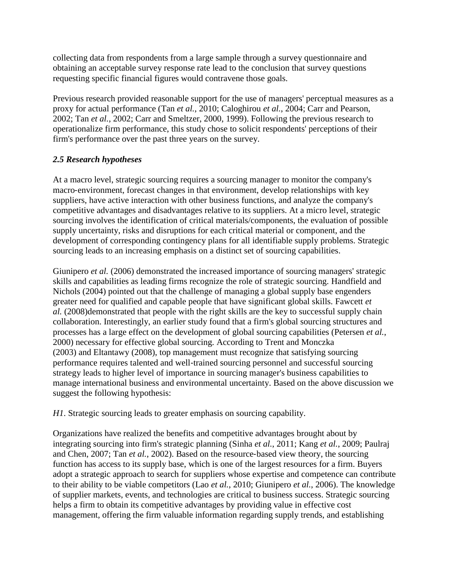collecting data from respondents from a large sample through a survey questionnaire and obtaining an acceptable survey response rate lead to the conclusion that survey questions requesting specific financial figures would contravene those goals.

Previous research provided reasonable support for the use of managers' perceptual measures as a proxy for actual performance (Tan *et al.*, 2010; Caloghirou *et al.*, 2004; Carr and Pearson, 2002; Tan *et al.*, 2002; Carr and Smeltzer, 2000, 1999). Following the previous research to operationalize firm performance, this study chose to solicit respondents' perceptions of their firm's performance over the past three years on the survey.

# *2.5 Research hypotheses*

At a macro level, strategic sourcing requires a sourcing manager to monitor the company's macro-environment, forecast changes in that environment, develop relationships with key suppliers, have active interaction with other business functions, and analyze the company's competitive advantages and disadvantages relative to its suppliers. At a micro level, strategic sourcing involves the identification of critical materials/components, the evaluation of possible supply uncertainty, risks and disruptions for each critical material or component, and the development of corresponding contingency plans for all identifiable supply problems. Strategic sourcing leads to an increasing emphasis on a distinct set of sourcing capabilities.

Giunipero *et al.* (2006) demonstrated the increased importance of sourcing managers' strategic skills and capabilities as leading firms recognize the role of strategic sourcing. Handfield and Nichols (2004) pointed out that the challenge of managing a global supply base engenders greater need for qualified and capable people that have significant global skills. Fawcett *et al.* (2008)demonstrated that people with the right skills are the key to successful supply chain collaboration. Interestingly, an earlier study found that a firm's global sourcing structures and processes has a large effect on the development of global sourcing capabilities (Petersen *et al.*, 2000) necessary for effective global sourcing. According to Trent and Monczka (2003) and Eltantawy (2008), top management must recognize that satisfying sourcing performance requires talented and well‐trained sourcing personnel and successful sourcing strategy leads to higher level of importance in sourcing manager's business capabilities to manage international business and environmental uncertainty. Based on the above discussion we suggest the following hypothesis:

*H1*. Strategic sourcing leads to greater emphasis on sourcing capability.

Organizations have realized the benefits and competitive advantages brought about by integrating sourcing into firm's strategic planning (Sinha *et al.*, 2011; Kang *et al.*, 2009; Paulraj and Chen, 2007; Tan *et al.*, 2002). Based on the resource-based view theory, the sourcing function has access to its supply base, which is one of the largest resources for a firm. Buyers adopt a strategic approach to search for suppliers whose expertise and competence can contribute to their ability to be viable competitors (Lao *et al.*, 2010; Giunipero *et al.*, 2006). The knowledge of supplier markets, events, and technologies are critical to business success. Strategic sourcing helps a firm to obtain its competitive advantages by providing value in effective cost management, offering the firm valuable information regarding supply trends, and establishing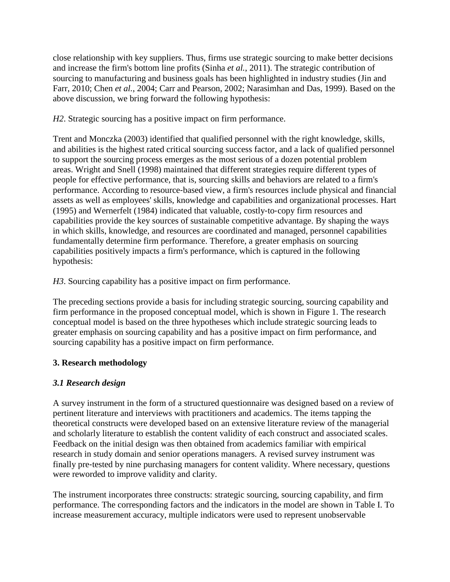close relationship with key suppliers. Thus, firms use strategic sourcing to make better decisions and increase the firm's bottom line profits (Sinha *et al.*, 2011). The strategic contribution of sourcing to manufacturing and business goals has been highlighted in industry studies (Jin and Farr, 2010; Chen *et al.*, 2004; Carr and Pearson, 2002; Narasimhan and Das, 1999). Based on the above discussion, we bring forward the following hypothesis:

*H2*. Strategic sourcing has a positive impact on firm performance.

Trent and Monczka (2003) identified that qualified personnel with the right knowledge, skills, and abilities is the highest rated critical sourcing success factor, and a lack of qualified personnel to support the sourcing process emerges as the most serious of a dozen potential problem areas. Wright and Snell (1998) maintained that different strategies require different types of people for effective performance, that is, sourcing skills and behaviors are related to a firm's performance. According to resource‐based view, a firm's resources include physical and financial assets as well as employees' skills, knowledge and capabilities and organizational processes. Hart (1995) and Wernerfelt (1984) indicated that valuable, costly‐to‐copy firm resources and capabilities provide the key sources of sustainable competitive advantage. By shaping the ways in which skills, knowledge, and resources are coordinated and managed, personnel capabilities fundamentally determine firm performance. Therefore, a greater emphasis on sourcing capabilities positively impacts a firm's performance, which is captured in the following hypothesis:

*H3*. Sourcing capability has a positive impact on firm performance.

The preceding sections provide a basis for including strategic sourcing, sourcing capability and firm performance in the proposed conceptual model, which is shown in Figure 1. The research conceptual model is based on the three hypotheses which include strategic sourcing leads to greater emphasis on sourcing capability and has a positive impact on firm performance, and sourcing capability has a positive impact on firm performance.

# **3. Research methodology**

# *3.1 Research design*

A survey instrument in the form of a structured questionnaire was designed based on a review of pertinent literature and interviews with practitioners and academics. The items tapping the theoretical constructs were developed based on an extensive literature review of the managerial and scholarly literature to establish the content validity of each construct and associated scales. Feedback on the initial design was then obtained from academics familiar with empirical research in study domain and senior operations managers. A revised survey instrument was finally pre‐tested by nine purchasing managers for content validity. Where necessary, questions were reworded to improve validity and clarity.

The instrument incorporates three constructs: strategic sourcing, sourcing capability, and firm performance. The corresponding factors and the indicators in the model are shown in Table I. To increase measurement accuracy, multiple indicators were used to represent unobservable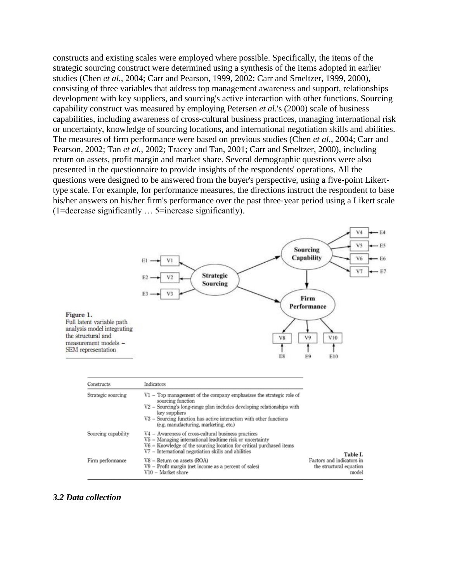constructs and existing scales were employed where possible. Specifically, the items of the strategic sourcing construct were determined using a synthesis of the items adopted in earlier studies (Chen *et al.*, 2004; Carr and Pearson, 1999, 2002; Carr and Smeltzer, 1999, 2000), consisting of three variables that address top management awareness and support, relationships development with key suppliers, and sourcing's active interaction with other functions. Sourcing capability construct was measured by employing Petersen *et al.*'s (2000) scale of business capabilities, including awareness of cross‐cultural business practices, managing international risk or uncertainty, knowledge of sourcing locations, and international negotiation skills and abilities. The measures of firm performance were based on previous studies (Chen *et al.*, 2004; Carr and Pearson, 2002; Tan *et al.*, 2002; Tracey and Tan, 2001; Carr and Smeltzer, 2000), including return on assets, profit margin and market share. Several demographic questions were also presented in the questionnaire to provide insights of the respondents' operations. All the questions were designed to be answered from the buyer's perspective, using a five-point Likerttype scale. For example, for performance measures, the directions instruct the respondent to base his/her answers on his/her firm's performance over the past three-year period using a Likert scale (1=decrease significantly … 5=increase significantly).



#### *3.2 Data collection*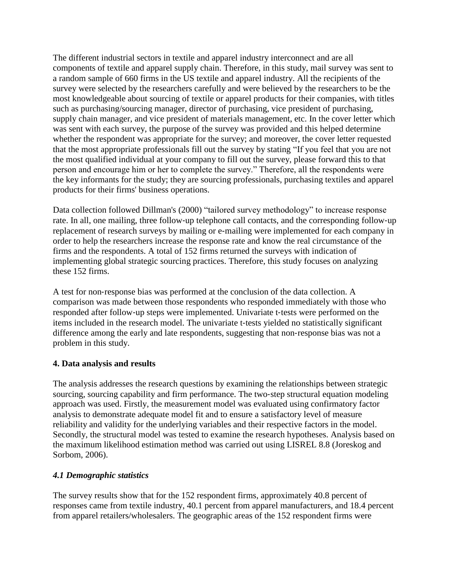The different industrial sectors in textile and apparel industry interconnect and are all components of textile and apparel supply chain. Therefore, in this study, mail survey was sent to a random sample of 660 firms in the US textile and apparel industry. All the recipients of the survey were selected by the researchers carefully and were believed by the researchers to be the most knowledgeable about sourcing of textile or apparel products for their companies, with titles such as purchasing/sourcing manager, director of purchasing, vice president of purchasing, supply chain manager, and vice president of materials management, etc. In the cover letter which was sent with each survey, the purpose of the survey was provided and this helped determine whether the respondent was appropriate for the survey; and moreover, the cover letter requested that the most appropriate professionals fill out the survey by stating "If you feel that you are not the most qualified individual at your company to fill out the survey, please forward this to that person and encourage him or her to complete the survey." Therefore, all the respondents were the key informants for the study; they are sourcing professionals, purchasing textiles and apparel products for their firms' business operations.

Data collection followed Dillman's (2000) "tailored survey methodology" to increase response rate. In all, one mailing, three follow-up telephone call contacts, and the corresponding follow-up replacement of research surveys by mailing or e-mailing were implemented for each company in order to help the researchers increase the response rate and know the real circumstance of the firms and the respondents. A total of 152 firms returned the surveys with indication of implementing global strategic sourcing practices. Therefore, this study focuses on analyzing these 152 firms.

A test for non‐response bias was performed at the conclusion of the data collection. A comparison was made between those respondents who responded immediately with those who responded after follow‐up steps were implemented. Univariate t‐tests were performed on the items included in the research model. The univariate t‐tests yielded no statistically significant difference among the early and late respondents, suggesting that non‐response bias was not a problem in this study.

# **4. Data analysis and results**

The analysis addresses the research questions by examining the relationships between strategic sourcing, sourcing capability and firm performance. The two-step structural equation modeling approach was used. Firstly, the measurement model was evaluated using confirmatory factor analysis to demonstrate adequate model fit and to ensure a satisfactory level of measure reliability and validity for the underlying variables and their respective factors in the model. Secondly, the structural model was tested to examine the research hypotheses. Analysis based on the maximum likelihood estimation method was carried out using LISREL 8.8 (Joreskog and Sorbom, 2006).

# *4.1 Demographic statistics*

The survey results show that for the 152 respondent firms, approximately 40.8 percent of responses came from textile industry, 40.1 percent from apparel manufacturers, and 18.4 percent from apparel retailers/wholesalers. The geographic areas of the 152 respondent firms were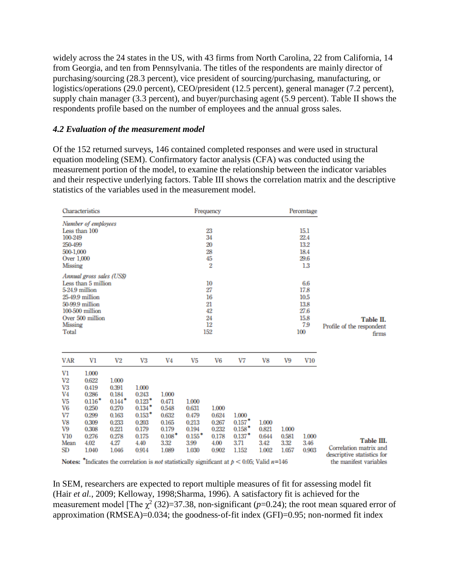widely across the 24 states in the US, with 43 firms from North Carolina, 22 from California, 14 from Georgia, and ten from Pennsylvania. The titles of the respondents are mainly director of purchasing/sourcing (28.3 percent), vice president of sourcing/purchasing, manufacturing, or logistics/operations (29.0 percent), CEO/president (12.5 percent), general manager (7.2 percent), supply chain manager (3.3 percent), and buyer/purchasing agent (5.9 percent). Table II shows the respondents profile based on the number of employees and the annual gross sales.

#### *4.2 Evaluation of the measurement model*

Of the 152 returned surveys, 146 contained completed responses and were used in structural equation modeling (SEM). Confirmatory factor analysis (CFA) was conducted using the measurement portion of the model, to examine the relationship between the indicator variables and their respective underlying factors. Table III shows the correlation matrix and the descriptive statistics of the variables used in the measurement model.

| Characteristics                                                                                                                                                            |                                                                                                            |                                                                                                                                                                                                       |                                                                                                         | Frequency                                                                       |                                                                                    |                                                            |                                                                        |                                          |                                             | Percentage                                                |                                                                                              |
|----------------------------------------------------------------------------------------------------------------------------------------------------------------------------|------------------------------------------------------------------------------------------------------------|-------------------------------------------------------------------------------------------------------------------------------------------------------------------------------------------------------|---------------------------------------------------------------------------------------------------------|---------------------------------------------------------------------------------|------------------------------------------------------------------------------------|------------------------------------------------------------|------------------------------------------------------------------------|------------------------------------------|---------------------------------------------|-----------------------------------------------------------|----------------------------------------------------------------------------------------------|
| Number of employees<br>Less than 100<br>100-249<br>250-499<br>500-1.000<br>Over 1,000<br>Missing                                                                           |                                                                                                            |                                                                                                                                                                                                       | 23<br>34<br>20<br>28<br>45<br>2                                                                         |                                                                                 |                                                                                    |                                                            |                                                                        |                                          | 15.1<br>22.4<br>13.2<br>18.4<br>29.6<br>1.3 |                                                           |                                                                                              |
| Annual gross sales (US\$)<br>Less than 5 million<br>5-24.9 million<br>25-49.9 million<br>50-99.9 million<br>100-500 million<br>Over 500 million<br><b>Missing</b><br>Total |                                                                                                            |                                                                                                                                                                                                       |                                                                                                         | 10<br>27<br>16<br>21<br>42<br>24<br>12<br>152                                   |                                                                                    |                                                            |                                                                        |                                          |                                             | 6.6<br>17.8<br>10.5<br>13.8<br>27.6<br>15.8<br>7.9<br>100 | Table II.<br>Profile of the respondent<br>firms                                              |
| <b>VAR</b>                                                                                                                                                                 | V1                                                                                                         | V2                                                                                                                                                                                                    | V3                                                                                                      | V4                                                                              | V <sub>5</sub>                                                                     | V6                                                         | V7                                                                     | V8                                       | V9                                          | V10                                                       |                                                                                              |
| V1<br>V <sub>2</sub><br>V3<br>V <sub>4</sub><br>V <sub>5</sub><br>V <sub>6</sub><br>V7<br>V8<br>V9<br>V10<br>Mean<br>SD<br>Notes:                                          | 1.000<br>0.622<br>0.419<br>0.286<br>$0.116*$<br>0.250<br>0.299<br>0.309<br>0.308<br>0.276<br>4.02<br>1.040 | 1.000<br>0.391<br>0.184<br>$0.144*$<br>0.270<br>0.163<br>0.233<br>0.221<br>0.278<br>4.27<br>1.046<br>"Indicates the correlation is <i>not</i> statistically significant at $p < 0.05$ : Valid $n=146$ | 1.000<br>0.243<br>0.123<br>$0.134$ <sup>*</sup><br>$0.153*$<br>0.203<br>0.179<br>0.175<br>4.40<br>0.914 | 1.000<br>0.471<br>0.548<br>0.632<br>0.165<br>0.179<br>$0.108*$<br>3.32<br>1.089 | 1.000<br>0.631<br>0.479<br>0.213<br>0.194<br>$0.155$ <sup>*</sup><br>3.99<br>1.030 | 1.000<br>0.624<br>0.267<br>0.232<br>0.178<br>4.00<br>0.902 | 1.000<br>$0.157$ <sup>*</sup><br>$0.158*$<br>$0.137*$<br>3.71<br>1.152 | 1.000<br>0.821<br>0.644<br>3.42<br>1.002 | 1.000<br>0.581<br>3.32<br>1.057             | 1.000<br>3.46<br>0.903                                    | Table III.<br>Correlation matrix and<br>descriptive statistics for<br>the manifest variables |

Notes: "Indicates the correlation is *not* statistically significant at  $p < 0.05$ ; Valid  $n=146$ 

In SEM, researchers are expected to report multiple measures of fit for assessing model fit (Hair *et al.*, 2009; Kelloway, 1998;Sharma, 1996). A satisfactory fit is achieved for the measurement model [The  $\chi^2$  (32)=37.38, non-significant ( $p$ =0.24); the root mean squared error of approximation (RMSEA)= $0.034$ ; the goodness-of-fit index (GFI)= $0.95$ ; non-normed fit index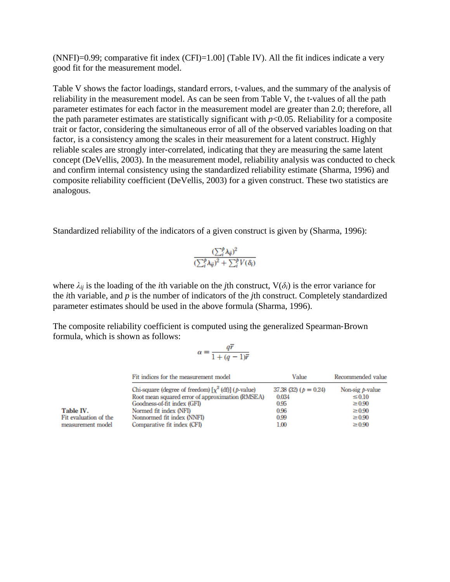$(NNFI)=0.99$ ; comparative fit index  $(CFI)=1.00$  (Table IV). All the fit indices indicate a very good fit for the measurement model.

Table V shows the factor loadings, standard errors, t-values, and the summary of the analysis of reliability in the measurement model. As can be seen from Table V, the t-values of all the path parameter estimates for each factor in the measurement model are greater than 2.0; therefore, all the path parameter estimates are statistically significant with  $p<0.05$ . Reliability for a composite trait or factor, considering the simultaneous error of all of the observed variables loading on that factor, is a consistency among the scales in their measurement for a latent construct. Highly reliable scales are strongly inter‐correlated, indicating that they are measuring the same latent concept (DeVellis, 2003). In the measurement model, reliability analysis was conducted to check and confirm internal consistency using the standardized reliability estimate (Sharma, 1996) and composite reliability coefficient (DeVellis, 2003) for a given construct. These two statistics are analogous.

Standardized reliability of the indicators of a given construct is given by (Sharma, 1996):

$$
\frac{(\sum_{i}^{p} \lambda_{ij})^{2}}{(\sum_{i}^{p} \lambda_{ij})^{2} + \sum_{i}^{p} V(\delta_{i})}
$$

where  $\lambda_{ij}$  is the loading of the *i*th variable on the *j*th construct,  $V(\delta_i)$  is the error variance for the *i*th variable, and *p* is the number of indicators of the *j*th construct. Completely standardized parameter estimates should be used in the above formula (Sharma, 1996).

The composite reliability coefficient is computed using the generalized Spearman‐Brown formula, which is shown as follows:

$$
\alpha=\frac{q\overline{r}}{1+(q-1)\overline{r}}
$$

| Fit indices for the measurement model                    | Value                   | Recommended value  |  |  |
|----------------------------------------------------------|-------------------------|--------------------|--|--|
| Chi-square (degree of freedom) $[\chi^2$ (df)] (p-value) | 37.38 (32) $(p = 0.24)$ | Non-sig $p$ -value |  |  |
| Root mean squared error of approximation (RMSEA)         | 0.034                   | $\leq 0.10$        |  |  |
| Goodness of fit index (GFI)                              | 0.95                    | $\geq 0.90$        |  |  |
| Normed fit index (NFI)                                   | 0.96                    | $\geq 0.90$        |  |  |
| Nonnormed fit index (NNFI)                               | 0.99                    | $\geq 0.90$        |  |  |
| Comparative fit index (CFI)                              | 1.00                    | $\geq 0.90$        |  |  |

Table IV. Fit evaluation of the measurement model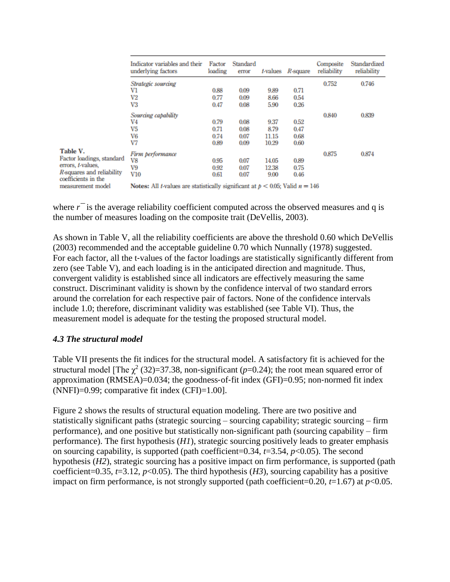|                                                  | Indicator variables and their<br>underlying factors | Factor<br>loading                                                                         | Standard<br>error | <i>t</i> -values | $R$ -square | Composite<br>reliability | Standardized<br>reliability |
|--------------------------------------------------|-----------------------------------------------------|-------------------------------------------------------------------------------------------|-------------------|------------------|-------------|--------------------------|-----------------------------|
|                                                  | Strategic sourcing                                  |                                                                                           |                   |                  |             | 0.752                    | 0.746                       |
|                                                  | V1                                                  | 0.88                                                                                      | 0.09              | 9.89             | 0.71        |                          |                             |
|                                                  | V2                                                  | 0.77                                                                                      | 0.09              | 8.66             | 0.54        |                          |                             |
|                                                  | V3                                                  | 0.47                                                                                      | 0.08              | 5.90             | 0.26        |                          |                             |
|                                                  | Sourcing capability                                 |                                                                                           |                   |                  |             | 0.840                    | 0.839                       |
|                                                  | V4                                                  | 0.79                                                                                      | 0.08              | 9.37             | 0.52        |                          |                             |
|                                                  | V <sub>5</sub>                                      | 0.71                                                                                      | 0.08              | 8.79             | 0.47        |                          |                             |
|                                                  | V6                                                  | 0.74                                                                                      | 0.07              | 11.15            | 0.68        |                          |                             |
|                                                  | V7                                                  | 0.89                                                                                      | 0.09              | 10.29            | 0.60        |                          |                             |
| Table V.                                         | Firm performance                                    |                                                                                           |                   |                  |             | 0.875                    | 0.874                       |
| Factor loadings, standard                        | V8                                                  | 0.95                                                                                      | 0.07              | 14.05            | 0.89        |                          |                             |
| errors, <i>t</i> -values,                        | V9                                                  | 0.92                                                                                      | 0.07              | 12.38            | 0.75        |                          |                             |
| R-squares and reliability<br>coefficients in the | <b>V10</b>                                          | 0.61                                                                                      | 0.07              | 9.00             | 0.46        |                          |                             |
| measurement model                                |                                                     | Notes: All <i>t</i> -values are statistically significant at $p < 0.05$ ; Valid $n = 146$ |                   |                  |             |                          |                             |

where  $r<sup>-</sup>$  is the average reliability coefficient computed across the observed measures and q is the number of measures loading on the composite trait (DeVellis, 2003).

As shown in Table V, all the reliability coefficients are above the threshold 0.60 which DeVellis (2003) recommended and the acceptable guideline 0.70 which Nunnally (1978) suggested. For each factor, all the t-values of the factor loadings are statistically significantly different from zero (see Table V), and each loading is in the anticipated direction and magnitude. Thus, convergent validity is established since all indicators are effectively measuring the same construct. Discriminant validity is shown by the confidence interval of two standard errors around the correlation for each respective pair of factors. None of the confidence intervals include 1.0; therefore, discriminant validity was established (see Table VI). Thus, the measurement model is adequate for the testing the proposed structural model.

# *4.3 The structural model*

Table VII presents the fit indices for the structural model. A satisfactory fit is achieved for the structural model [The  $\chi^2$  (32)=37.38, non-significant ( $p$ =0.24); the root mean squared error of approximation (RMSEA)=0.034; the goodness‐of‐fit index (GFI)=0.95; non‐normed fit index (NNFI)=0.99; comparative fit index (CFI)=1.00].

Figure 2 shows the results of structural equation modeling. There are two positive and statistically significant paths (strategic sourcing – sourcing capability; strategic sourcing – firm performance), and one positive but statistically non‐significant path (sourcing capability – firm performance). The first hypothesis (*H1*), strategic sourcing positively leads to greater emphasis on sourcing capability, is supported (path coefficient=0.34, *t*=3.54, *p*<0.05). The second hypothesis (*H2*), strategic sourcing has a positive impact on firm performance, is supported (path coefficient=0.35,  $t=3.12$ ,  $p<0.05$ ). The third hypothesis (*H3*), sourcing capability has a positive impact on firm performance, is not strongly supported (path coefficient=0.20,  $t=1.67$ ) at  $p<0.05$ .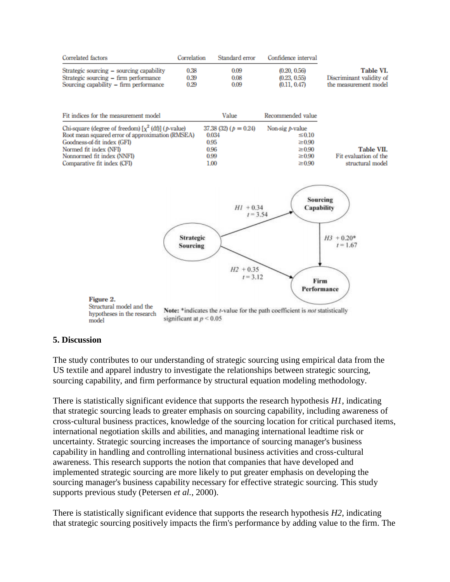

## **5. Discussion**

The study contributes to our understanding of strategic sourcing using empirical data from the US textile and apparel industry to investigate the relationships between strategic sourcing, sourcing capability, and firm performance by structural equation modeling methodology.

There is statistically significant evidence that supports the research hypothesis *H1*, indicating that strategic sourcing leads to greater emphasis on sourcing capability, including awareness of cross‐cultural business practices, knowledge of the sourcing location for critical purchased items, international negotiation skills and abilities, and managing international leadtime risk or uncertainty. Strategic sourcing increases the importance of sourcing manager's business capability in handling and controlling international business activities and cross‐cultural awareness. This research supports the notion that companies that have developed and implemented strategic sourcing are more likely to put greater emphasis on developing the sourcing manager's business capability necessary for effective strategic sourcing. This study supports previous study (Petersen *et al.*, 2000).

There is statistically significant evidence that supports the research hypothesis *H2*, indicating that strategic sourcing positively impacts the firm's performance by adding value to the firm. The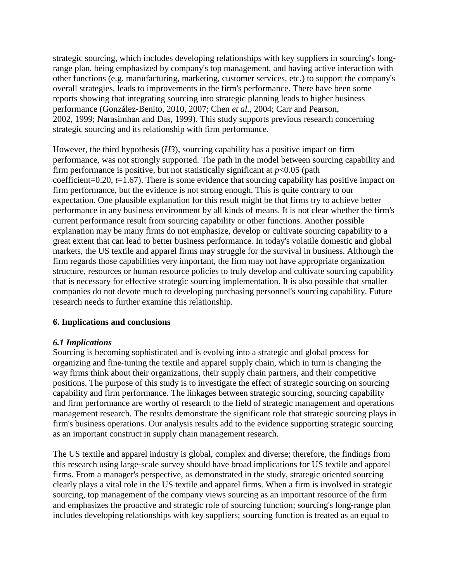strategic sourcing, which includes developing relationships with key suppliers in sourcing's long‐ range plan, being emphasized by company's top management, and having active interaction with other functions (e.g. manufacturing, marketing, customer services, etc.) to support the company's overall strategies, leads to improvements in the firm's performance. There have been some reports showing that integrating sourcing into strategic planning leads to higher business performance (González‐Benito, 2010, 2007; Chen *et al.*, 2004; Carr and Pearson, 2002, 1999; Narasimhan and Das, 1999). This study supports previous research concerning strategic sourcing and its relationship with firm performance.

However, the third hypothesis (*H3*), sourcing capability has a positive impact on firm performance, was not strongly supported. The path in the model between sourcing capability and firm performance is positive, but not statistically significant at  $p<0.05$  (path coefficient=0.20, *t*=1.67). There is some evidence that sourcing capability has positive impact on firm performance, but the evidence is not strong enough. This is quite contrary to our expectation. One plausible explanation for this result might be that firms try to achieve better performance in any business environment by all kinds of means. It is not clear whether the firm's current performance result from sourcing capability or other functions. Another possible explanation may be many firms do not emphasize, develop or cultivate sourcing capability to a great extent that can lead to better business performance. In today's volatile domestic and global markets, the US textile and apparel firms may struggle for the survival in business. Although the firm regards those capabilities very important, the firm may not have appropriate organization structure, resources or human resource policies to truly develop and cultivate sourcing capability that is necessary for effective strategic sourcing implementation. It is also possible that smaller companies do not devote much to developing purchasing personnel's sourcing capability. Future research needs to further examine this relationship.

# **6. Implications and conclusions**

## *6.1 Implications*

Sourcing is becoming sophisticated and is evolving into a strategic and global process for organizing and fine‐tuning the textile and apparel supply chain, which in turn is changing the way firms think about their organizations, their supply chain partners, and their competitive positions. The purpose of this study is to investigate the effect of strategic sourcing on sourcing capability and firm performance. The linkages between strategic sourcing, sourcing capability and firm performance are worthy of research to the field of strategic management and operations management research. The results demonstrate the significant role that strategic sourcing plays in firm's business operations. Our analysis results add to the evidence supporting strategic sourcing as an important construct in supply chain management research.

The US textile and apparel industry is global, complex and diverse; therefore, the findings from this research using large‐scale survey should have broad implications for US textile and apparel firms. From a manager's perspective, as demonstrated in the study, strategic oriented sourcing clearly plays a vital role in the US textile and apparel firms. When a firm is involved in strategic sourcing, top management of the company views sourcing as an important resource of the firm and emphasizes the proactive and strategic role of sourcing function; sourcing's long‐range plan includes developing relationships with key suppliers; sourcing function is treated as an equal to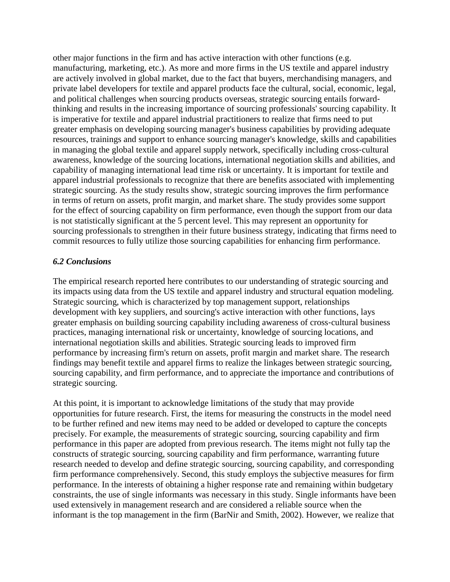other major functions in the firm and has active interaction with other functions (e.g. manufacturing, marketing, etc.). As more and more firms in the US textile and apparel industry are actively involved in global market, due to the fact that buyers, merchandising managers, and private label developers for textile and apparel products face the cultural, social, economic, legal, and political challenges when sourcing products overseas, strategic sourcing entails forward‐ thinking and results in the increasing importance of sourcing professionals' sourcing capability. It is imperative for textile and apparel industrial practitioners to realize that firms need to put greater emphasis on developing sourcing manager's business capabilities by providing adequate resources, trainings and support to enhance sourcing manager's knowledge, skills and capabilities in managing the global textile and apparel supply network, specifically including cross‐cultural awareness, knowledge of the sourcing locations, international negotiation skills and abilities, and capability of managing international lead time risk or uncertainty. It is important for textile and apparel industrial professionals to recognize that there are benefits associated with implementing strategic sourcing. As the study results show, strategic sourcing improves the firm performance in terms of return on assets, profit margin, and market share. The study provides some support for the effect of sourcing capability on firm performance, even though the support from our data is not statistically significant at the 5 percent level. This may represent an opportunity for sourcing professionals to strengthen in their future business strategy, indicating that firms need to commit resources to fully utilize those sourcing capabilities for enhancing firm performance.

## *6.2 Conclusions*

The empirical research reported here contributes to our understanding of strategic sourcing and its impacts using data from the US textile and apparel industry and structural equation modeling. Strategic sourcing, which is characterized by top management support, relationships development with key suppliers, and sourcing's active interaction with other functions, lays greater emphasis on building sourcing capability including awareness of cross-cultural business practices, managing international risk or uncertainty, knowledge of sourcing locations, and international negotiation skills and abilities. Strategic sourcing leads to improved firm performance by increasing firm's return on assets, profit margin and market share. The research findings may benefit textile and apparel firms to realize the linkages between strategic sourcing, sourcing capability, and firm performance, and to appreciate the importance and contributions of strategic sourcing.

At this point, it is important to acknowledge limitations of the study that may provide opportunities for future research. First, the items for measuring the constructs in the model need to be further refined and new items may need to be added or developed to capture the concepts precisely. For example, the measurements of strategic sourcing, sourcing capability and firm performance in this paper are adopted from previous research. The items might not fully tap the constructs of strategic sourcing, sourcing capability and firm performance, warranting future research needed to develop and define strategic sourcing, sourcing capability, and corresponding firm performance comprehensively. Second, this study employs the subjective measures for firm performance. In the interests of obtaining a higher response rate and remaining within budgetary constraints, the use of single informants was necessary in this study. Single informants have been used extensively in management research and are considered a reliable source when the informant is the top management in the firm (BarNir and Smith, 2002). However, we realize that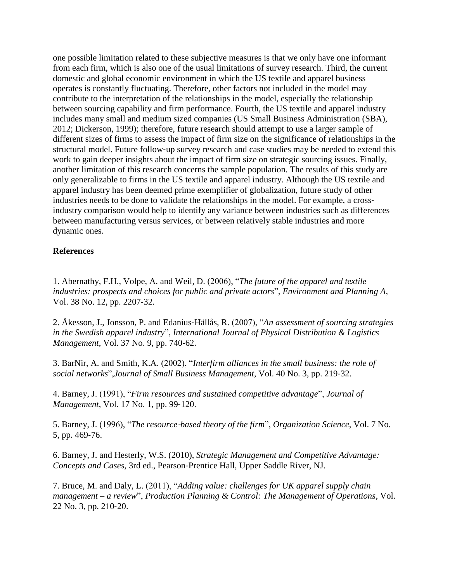one possible limitation related to these subjective measures is that we only have one informant from each firm, which is also one of the usual limitations of survey research. Third, the current domestic and global economic environment in which the US textile and apparel business operates is constantly fluctuating. Therefore, other factors not included in the model may contribute to the interpretation of the relationships in the model, especially the relationship between sourcing capability and firm performance. Fourth, the US textile and apparel industry includes many small and medium sized companies (US Small Business Administration (SBA), 2012; Dickerson, 1999); therefore, future research should attempt to use a larger sample of different sizes of firms to assess the impact of firm size on the significance of relationships in the structural model. Future follow‐up survey research and case studies may be needed to extend this work to gain deeper insights about the impact of firm size on strategic sourcing issues. Finally, another limitation of this research concerns the sample population. The results of this study are only generalizable to firms in the US textile and apparel industry. Although the US textile and apparel industry has been deemed prime exemplifier of globalization, future study of other industries needs to be done to validate the relationships in the model. For example, a crossindustry comparison would help to identify any variance between industries such as differences between manufacturing versus services, or between relatively stable industries and more dynamic ones.

#### **References**

1. Abernathy, F.H., Volpe, A. and Weil, D. (2006), "*The future of the apparel and textile industries: prospects and choices for public and private actors*", *Environment and Planning A*, Vol. 38 No. 12, pp. 2207‐32.

2. Åkesson, J., Jonsson, P. and Edanius‐Hällås, R. (2007), "*An assessment of sourcing strategies in the Swedish apparel industry*", *International Journal of Physical Distribution & Logistics Management*, Vol. 37 No. 9, pp. 740‐62.

3. BarNir, A. and Smith, K.A. (2002), "*Interfirm alliances in the small business: the role of social networks*",*Journal of Small Business Management*, Vol. 40 No. 3, pp. 219‐32.

4. Barney, J. (1991), "*Firm resources and sustained competitive advantage*", *Journal of Management*, Vol. 17 No. 1, pp. 99‐120.

5. Barney, J. (1996), "*The resource*‐*based theory of the firm*", *Organization Science*, Vol. 7 No. 5, pp. 469‐76.

6. Barney, J. and Hesterly, W.S. (2010), *Strategic Management and Competitive Advantage: Concepts and Cases*, 3rd ed., Pearson‐Prentice Hall, Upper Saddle River, NJ.

7. Bruce, M. and Daly, L. (2011), "*Adding value: challenges for UK apparel supply chain management – a review*", *Production Planning & Control: The Management of Operations*, Vol. 22 No. 3, pp. 210‐20.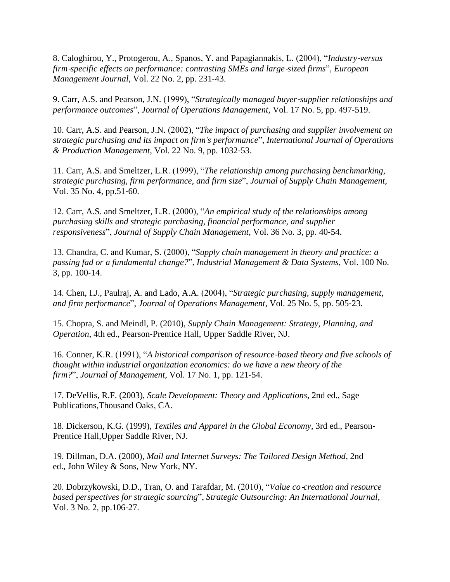8. Caloghirou, Y., Protogerou, A., Spanos, Y. and Papagiannakis, L. (2004), "*Industry*‐*versus firm*‐*specific effects on performance: contrasting SMEs and large*‐*sized firms*", *European Management Journal*, Vol. 22 No. 2, pp. 231‐43.

9. Carr, A.S. and Pearson, J.N. (1999), "*Strategically managed buyer*‐*supplier relationships and performance outcomes*", *Journal of Operations Management*, Vol. 17 No. 5, pp. 497‐519.

10. Carr, A.S. and Pearson, J.N. (2002), "*The impact of purchasing and supplier involvement on strategic purchasing and its impact on firm's performance*", *International Journal of Operations & Production Management*, Vol. 22 No. 9, pp. 1032‐53.

11. Carr, A.S. and Smeltzer, L.R. (1999), "*The relationship among purchasing benchmarking, strategic purchasing, firm performance, and firm size*", *Journal of Supply Chain Management*, Vol. 35 No. 4, pp.51‐60.

12. Carr, A.S. and Smeltzer, L.R. (2000), "*An empirical study of the relationships among purchasing skills and strategic purchasing, financial performance, and supplier responsiveness*", *Journal of Supply Chain Management*, Vol. 36 No. 3, pp. 40‐54.

13. Chandra, C. and Kumar, S. (2000), "*Supply chain management in theory and practice: a passing fad or a fundamental change?*", *Industrial Management & Data Systems*, Vol. 100 No. 3, pp. 100‐14.

14. Chen, I.J., Paulraj, A. and Lado, A.A. (2004), "*Strategic purchasing, supply management, and firm performance*", *Journal of Operations Management*, Vol. 25 No. 5, pp. 505‐23.

15. Chopra, S. and Meindl, P. (2010), *Supply Chain Management: Strategy, Planning, and Operation*, 4th ed., Pearson‐Prentice Hall, Upper Saddle River, NJ.

16. Conner, K.R. (1991), "*A historical comparison of resource*‐*based theory and five schools of thought within industrial organization economics: do we have a new theory of the firm?*", *Journal of Management*, Vol. 17 No. 1, pp. 121‐54.

17. DeVellis, R.F. (2003), *Scale Development: Theory and Applications*, 2nd ed., Sage Publications,Thousand Oaks, CA.

18. Dickerson, K.G. (1999), *Textiles and Apparel in the Global Economy*, 3rd ed., Pearson‐ Prentice Hall,Upper Saddle River, NJ.

19. Dillman, D.A. (2000), *Mail and Internet Surveys: The Tailored Design Method*, 2nd ed., John Wiley & Sons, New York, NY.

20. Dobrzykowski, D.D., Tran, O. and Tarafdar, M. (2010), "*Value co*‐*creation and resource based perspectives for strategic sourcing*", *Strategic Outsourcing: An International Journal*, Vol. 3 No. 2, pp.106‐27.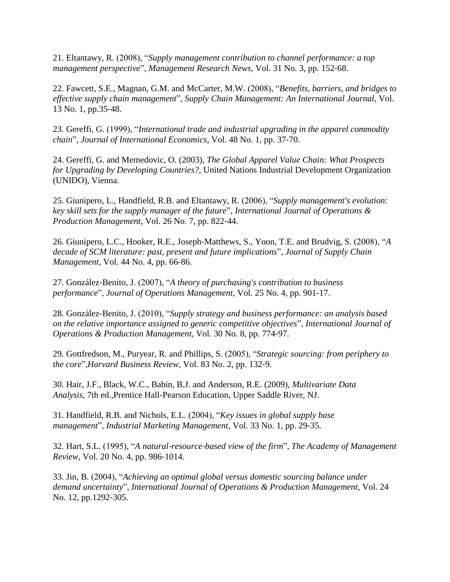21. Eltantawy, R. (2008), "*Supply management contribution to channel performance: a top management perspective*", *Management Research News*, Vol. 31 No. 3, pp. 152‐68.

22. Fawcett, S.E., Magnan, G.M. and McCarter, M.W. (2008), "*Benefits, barriers, and bridges to effective supply chain management*", *Supply Chain Management: An International Journal*, Vol. 13 No. 1, pp.35‐48.

23. Gereffi, G. (1999), "*International trade and industrial upgrading in the apparel commodity chain*", *Journal of International Economics*, Vol. 48 No. 1, pp. 37‐70.

24. Gereffi, G. and Memedovic, O. (2003), *The Global Apparel Value Chain: What Prospects for Upgrading by Developing Countries?*, United Nations Industrial Development Organization (UNIDO), Vienna.

25. Giunipero, L., Handfield, R.B. and Eltantawy, R. (2006), "*Supply management's evolution: key skill sets for the supply manager of the future*", *International Journal of Operations & Production Management*, Vol. 26 No. 7, pp. 822‐44.

26. Giunipero, L.C., Hooker, R.E., Joseph‐Matthews, S., Yoon, T.E. and Brudvig, S. (2008), "*A decade of SCM literature: past, present and future implications*", *Journal of Supply Chain Management*, Vol. 44 No. 4, pp. 66‐86.

27. González‐Benito, J. (2007), "*A theory of purchasing's contribution to business performance*", *Journal of Operations Management*, Vol. 25 No. 4, pp. 901‐17.

28. González‐Benito, J. (2010), "*Supply strategy and business performance: an analysis based on the relative importance assigned to generic competitive objectives*", *International Journal of Operations & Production Management*, Vol. 30 No. 8, pp. 774‐97.

29. Gottfredson, M., Puryear, R. and Phillips, S. (2005), "*Strategic sourcing: from periphery to the core*",*Harvard Business Review*, Vol. 83 No. 2, pp. 132‐9.

30. Hair, J.F., Black, W.C., Babin, B.J. and Anderson, R.E. (2009), *Multivariate Data Analysis*, 7th ed.,Prentice Hall‐Pearson Education, Upper Saddle River, NJ.

31. Handfield, R.B. and Nichols, E.L. (2004), "*Key issues in global supply base management*", *Industrial Marketing Management*, Vol. 33 No. 1, pp. 29‐35.

32. Hart, S.L. (1995), "*A natural*‐*resource*‐*based view of the firm*", *The Academy of Management Review*, Vol. 20 No. 4, pp. 986‐1014.

33. Jin, B. (2004), "*Achieving an optimal global versus domestic sourcing balance under demand uncertainty*", *International Journal of Operations & Production Management*, Vol. 24 No. 12, pp.1292-305.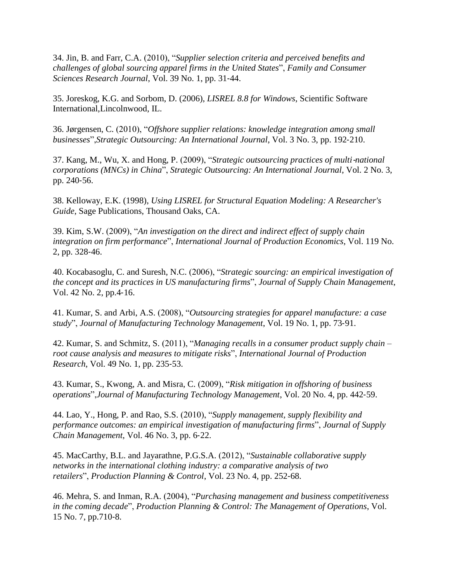34. Jin, B. and Farr, C.A. (2010), "*Supplier selection criteria and perceived benefits and challenges of global sourcing apparel firms in the United States*", *Family and Consumer Sciences Research Journal*, Vol. 39 No. 1, pp. 31‐44.

35. Joreskog, K.G. and Sorbom, D. (2006), *LISREL 8.8 for Windows*, Scientific Software International,Lincolnwood, IL.

36. Jørgensen, C. (2010), "*Offshore supplier relations: knowledge integration among small businesses*",*Strategic Outsourcing: An International Journal*, Vol. 3 No. 3, pp. 192‐210.

37. Kang, M., Wu, X. and Hong, P. (2009), "*Strategic outsourcing practices of multi*‐*national corporations (MNCs) in China*", *Strategic Outsourcing: An International Journal*, Vol. 2 No. 3, pp. 240‐56.

38. Kelloway, E.K. (1998), *Using LISREL for Structural Equation Modeling: A Researcher's Guide*, Sage Publications, Thousand Oaks, CA.

39. Kim, S.W. (2009), "*An investigation on the direct and indirect effect of supply chain integration on firm performance*", *International Journal of Production Economics*, Vol. 119 No. 2, pp. 328‐46.

40. Kocabasoglu, C. and Suresh, N.C. (2006), "*Strategic sourcing: an empirical investigation of the concept and its practices in US manufacturing firms*", *Journal of Supply Chain Management*, Vol. 42 No. 2, pp.4‐16.

41. Kumar, S. and Arbi, A.S. (2008), "*Outsourcing strategies for apparel manufacture: a case study*", *Journal of Manufacturing Technology Management*, Vol. 19 No. 1, pp. 73‐91.

42. Kumar, S. and Schmitz, S. (2011), "*Managing recalls in a consumer product supply chain – root cause analysis and measures to mitigate risks*", *International Journal of Production Research*, Vol. 49 No. 1, pp. 235‐53.

43. Kumar, S., Kwong, A. and Misra, C. (2009), "*Risk mitigation in offshoring of business operations*",*Journal of Manufacturing Technology Management*, Vol. 20 No. 4, pp. 442‐59.

44. Lao, Y., Hong, P. and Rao, S.S. (2010), "*Supply management, supply flexibility and performance outcomes: an empirical investigation of manufacturing firms*", *Journal of Supply Chain Management*, Vol. 46 No. 3, pp. 6‐22.

45. MacCarthy, B.L. and Jayarathne, P.G.S.A. (2012), "*Sustainable collaborative supply networks in the international clothing industry: a comparative analysis of two retailers*", *Production Planning & Control*, Vol. 23 No. 4, pp. 252‐68.

46. Mehra, S. and Inman, R.A. (2004), "*Purchasing management and business competitiveness in the coming decade*", *Production Planning & Control: The Management of Operations*, Vol. 15 No. 7, pp.710‐8.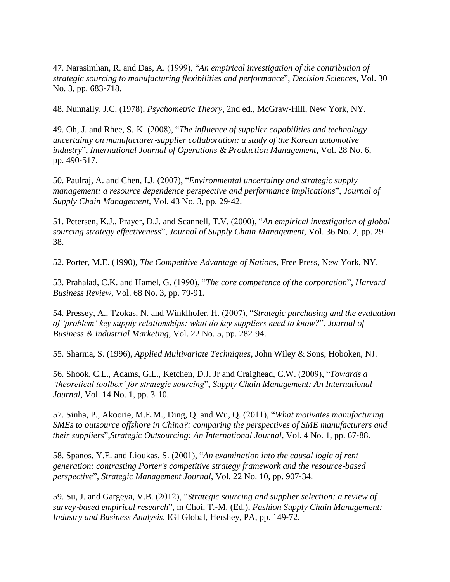47. Narasimhan, R. and Das, A. (1999), "*An empirical investigation of the contribution of strategic sourcing to manufacturing flexibilities and performance*", *Decision Sciences*, Vol. 30 No. 3, pp. 683‐718.

48. Nunnally, J.C. (1978), *Psychometric Theory*, 2nd ed., McGraw‐Hill, New York, NY.

49. Oh, J. and Rhee, S.‐K. (2008), "*The influence of supplier capabilities and technology uncertainty on manufacturer*‐*supplier collaboration: a study of the Korean automotive industry*", *International Journal of Operations & Production Management*, Vol. 28 No. 6, pp. 490‐517.

50. Paulraj, A. and Chen, I.J. (2007), "*Environmental uncertainty and strategic supply management: a resource dependence perspective and performance implications*", *Journal of Supply Chain Management*, Vol. 43 No. 3, pp. 29‐42.

51. Petersen, K.J., Prayer, D.J. and Scannell, T.V. (2000), "*An empirical investigation of global sourcing strategy effectiveness*", *Journal of Supply Chain Management*, Vol. 36 No. 2, pp. 29‐ 38.

52. Porter, M.E. (1990), *The Competitive Advantage of Nations*, Free Press, New York, NY.

53. Prahalad, C.K. and Hamel, G. (1990), "*The core competence of the corporation*", *Harvard Business Review*, Vol. 68 No. 3, pp. 79‐91.

54. Pressey, A., Tzokas, N. and Winklhofer, H. (2007), "*Strategic purchasing and the evaluation of 'problem' key supply relationships: what do key suppliers need to know?*", *Journal of Business & Industrial Marketing*, Vol. 22 No. 5, pp. 282‐94.

55. Sharma, S. (1996), *Applied Multivariate Techniques*, John Wiley & Sons, Hoboken, NJ.

56. Shook, C.L., Adams, G.L., Ketchen, D.J. Jr and Craighead, C.W. (2009), "*Towards a 'theoretical toolbox' for strategic sourcing*", *Supply Chain Management: An International Journal*, Vol. 14 No. 1, pp. 3‐10.

57. Sinha, P., Akoorie, M.E.M., Ding, Q. and Wu, Q. (2011), "*What motivates manufacturing SMEs to outsource offshore in China?: comparing the perspectives of SME manufacturers and their suppliers*",*Strategic Outsourcing: An International Journal*, Vol. 4 No. 1, pp. 67‐88.

58. Spanos, Y.E. and Lioukas, S. (2001), "*An examination into the causal logic of rent generation: contrasting Porter's competitive strategy framework and the resource*‐*based perspective*", *Strategic Management Journal*, Vol. 22 No. 10, pp. 907‐34.

59. Su, J. and Gargeya, V.B. (2012), "*Strategic sourcing and supplier selection: a review of survey*‐*based empirical research*", in Choi, T.‐M. (Ed.), *Fashion Supply Chain Management: Industry and Business Analysis*, IGI Global, Hershey, PA, pp. 149‐72.